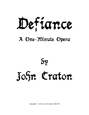# Defiance

# A One-Minute Opera

 $\delta \mathbf{v}$ John Craton

Copyright © 2013 by John Craton (ASCAP)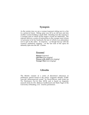## **Synopsis**

As the curtain rises we see a woman (soprano) sitting next to a fire in a primeval forest. Sitting some way off is an old man and also another woman holding a small child. Standing near the soprano is a younger man to whom all the singer's words are addressed. The soprano delivers a series of instructions to the younger man (whom we presume to be her husband), the last of which is an admonition not to spit in the ashes. In response – as though fed up with the woman's prehistoric nagging – on the last note of the opera he defiantly spits into the fire. Curtain.

### *Personnel*

**Woman** (soprano) **Old Man** (non-singing) **Woman with child** (non-singing) **Younger Man** (non-singing)

# **Libretto**

The libretto consists of a series of theoretical utterances in prehistoric speech found in the article "Linguists identify 15,000 year-old 'ultraconserved words'" by David Brown, staff writer for *The Washington Post* [6 May 2013], and is based on linguistic research done by Drs. Rebecca Grollemund and Mark Pagel of the University of Reading, U.K. Used by permission.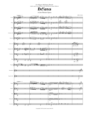### *For Megan McKamey Barrett (with a nod or two thrown in the direction of Anton Webern)*



A One-Minute Opera



Copyright © 2013 by John Craton (ASCAP)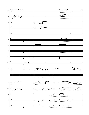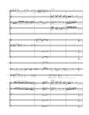